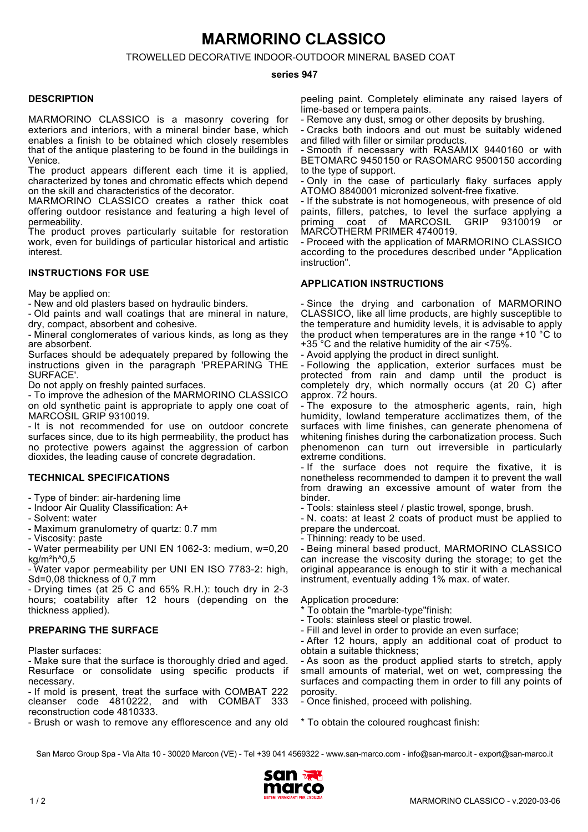# **MARMORINO CLASSICO**

TROWELLED DECORATIVE INDOOR-OUTDOOR MINERAL BASED COAT

### **series 947**

### **DESCRIPTION**

MARMORINO CLASSICO is a masonry covering for exteriors and interiors, with a mineral binder base, which enables a finish to be obtained which closely resembles that of the antique plastering to be found in the buildings in Venice.

The product appears different each time it is applied, characterized by tones and chromatic effects which depend on the skill and characteristics of the decorator.

MARMORINO CLASSICO creates a rather thick coat offering outdoor resistance and featuring a high level of permeability.

The product proves particularly suitable for restoration work, even for buildings of particular historical and artistic interest.

## **INSTRUCTIONS FOR USE**

May be applied on:

- New and old plasters based on hydraulic binders.

- Old paints and wall coatings that are mineral in nature, dry, compact, absorbent and cohesive.

- Mineral conglomerates of various kinds, as long as they are absorbent.

Surfaces should be adequately prepared by following the instructions given in the paragraph 'PREPARING THE SURFACE'.

Do not apply on freshly painted surfaces.

- To improve the adhesion of the MARMORINO CLASSICO on old synthetic paint is appropriate to apply one coat of MARCOSIL GRIP 9310019.

- It is not recommended for use on outdoor concrete surfaces since, due to its high permeability, the product has no protective powers against the aggression of carbon dioxides, the leading cause of concrete degradation.

## **TECHNICAL SPECIFICATIONS**

- Type of binder: air-hardening lime

- Indoor Air Quality Classification: A+

- Solvent: water

- Maximum granulometry of quartz: 0.7 mm

- Viscosity: paste

- Water permeability per UNI EN 1062-3: medium, w=0,20 kg/m²h^0,5

- Water vapor permeability per UNI EN ISO 7783-2: high, Sd=0,08 thickness of 0,7 mm

- Drying times (at 25 C and 65% R.H.): touch dry in 2-3 hours; coatability after 12 hours (depending on the thickness applied).

## **PREPARING THE SURFACE**

Plaster surfaces:

- Make sure that the surface is thoroughly dried and aged. Resurface or consolidate using specific products if necessary.

- If mold is present, treat the surface with COMBAT 222 cleanser code 4810222. and with COMBAT 333  $c$ leanser  $c$ ode 4810222, and with  $COMBAT$ reconstruction code 4810333.

- Brush or wash to remove any efflorescence and any old

peeling paint. Completely eliminate any raised layers of lime-based or tempera paints.

- Remove any dust, smog or other deposits by brushing.

- Cracks both indoors and out must be suitably widened and filled with filler or similar products.

- Smooth if necessary with RASAMIX 9440160 or with BETOMARC 9450150 or RASOMARC 9500150 according to the type of support.

- Only in the case of particularly flaky surfaces apply ATOMO 8840001 micronized solvent-free fixative.

- If the substrate is not homogeneous, with presence of old paints, fillers, patches, to level the surface applying a<br>priming coat of MARCOSIL GRIP 9310019 or coat of MARCOSIL MARCOTHERM PRIMER 4740019.

- Proceed with the application of MARMORINO CLASSICO according to the procedures described under "Application instruction".

## **APPLICATION INSTRUCTIONS**

- Since the drying and carbonation of MARMORINO CLASSICO, like all lime products, are highly susceptible to the temperature and humidity levels, it is advisable to apply the product when temperatures are in the range +10 °C to +35 $^{\circ}$ C and the relative humidity of the air <75%.

- Avoid applying the product in direct sunlight.

- Following the application, exterior surfaces must be protected from rain and damp until the product is completely dry, which normally occurs (at 20 C) after approx. 72 hours.

- The exposure to the atmospheric agents, rain, high humidity, lowland temperature acclimatizes them, of the surfaces with lime finishes, can generate phenomena of whitening finishes during the carbonatization process. Such phenomenon can turn out irreversible in particularly extreme conditions.

- If the surface does not require the fixative, it is nonetheless recommended to dampen it to prevent the wall from drawing an excessive amount of water from the binder.

- Tools: stainless steel / plastic trowel, sponge, brush.

- N. coats: at least 2 coats of product must be applied to prepare the undercoat.

- Thinning: ready to be used.

- Being mineral based product, MARMORINO CLASSICO can increase the viscosity during the storage; to get the original appearance is enough to stir it with a mechanical instrument, eventually adding 1% max. of water.

Application procedure:

- \* To obtain the "marble-type"finish:
- Tools: stainless steel or plastic trowel.
- Fill and level in order to provide an even surface;

- After 12 hours, apply an additional coat of product to obtain a suitable thickness;

- As soon as the product applied starts to stretch, apply small amounts of material, wet on wet, compressing the surfaces and compacting them in order to fill any points of porosity.

- Once finished, proceed with polishing.

\* To obtain the coloured roughcast finish:

San Marco Group Spa - Via Alta 10 - 30020 Marcon (VE) - Tel +39 041 4569322 - www.san-marco.com - info@san-marco.it - export@san-marco.it